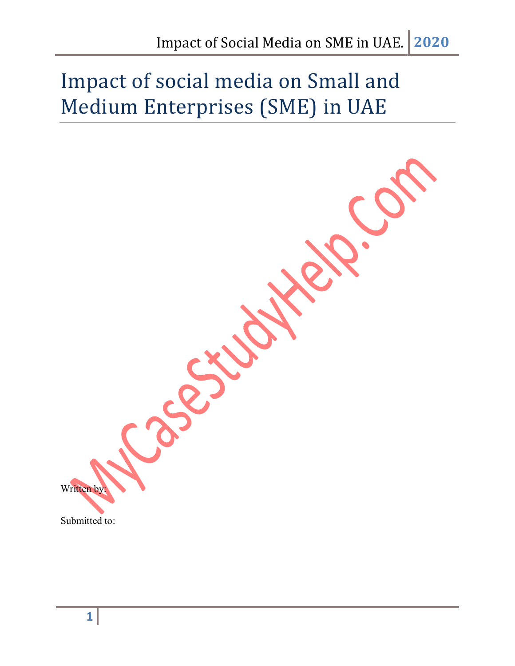# Impact of social media on Small and Medium Enterprises (SME) in UAE

Reports Written by: Submitted to: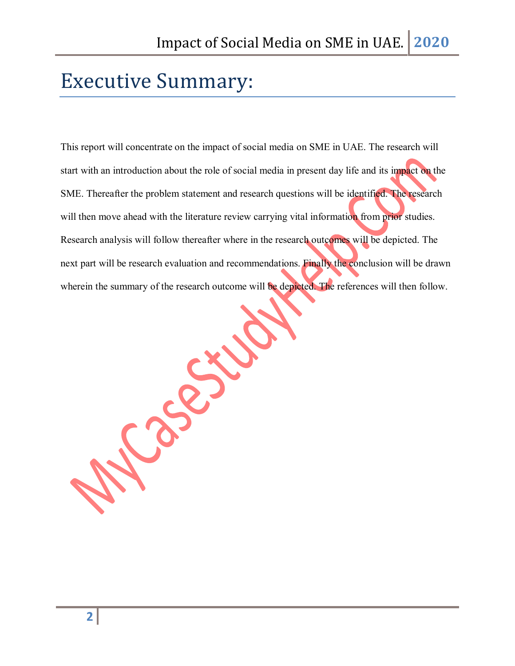## Executive Summary:

This report will concentrate on the impact of social media on SME in UAE. The research will start with an introduction about the role of social media in present day life and its impact on the SME. Thereafter the problem statement and research questions will be identified. The research will then move ahead with the literature review carrying vital information from prior studies. Research analysis will follow thereafter where in the research outcomes will be depicted. The next part will be research evaluation and recommendations. Finally the conclusion will be drawn wherein the summary of the research outcome will be depicted. The references will then follow.

zect

UO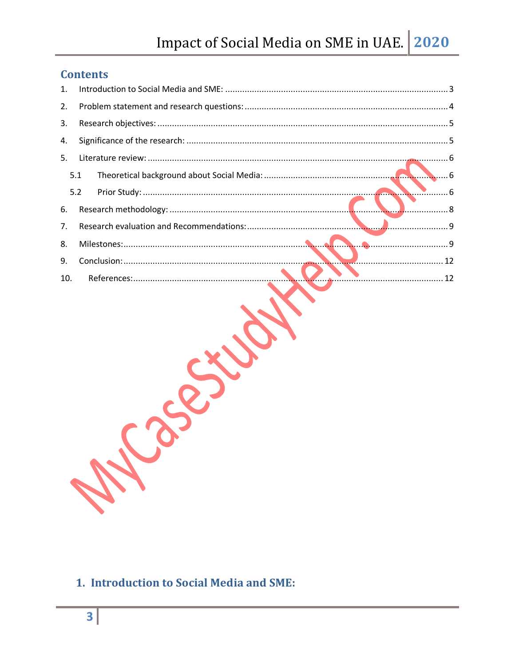## Impact of Social Media on SME in UAE. 2020

## **Contents**

| 1.  |     |  |
|-----|-----|--|
| 2.  |     |  |
| 3.  |     |  |
| 4.  |     |  |
| 5.  |     |  |
| 5.1 |     |  |
| 5.2 |     |  |
| 6.  | . 8 |  |
| 7.  |     |  |
| 8.  |     |  |
| 9.  |     |  |
| 10. |     |  |
|     |     |  |

## <span id="page-2-0"></span>1. Introduction to Social Media and SME: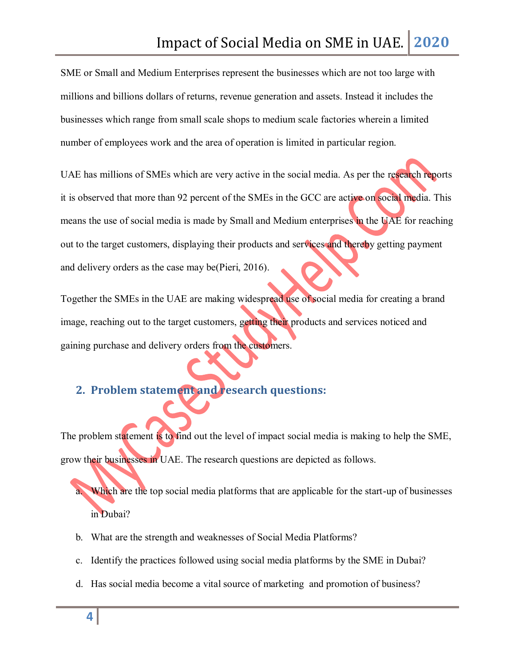SME or Small and Medium Enterprises represent the businesses which are not too large with millions and billions dollars of returns, revenue generation and assets. Instead it includes the businesses which range from small scale shops to medium scale factories wherein a limited number of employees work and the area of operation is limited in particular region.

UAE has millions of SMEs which are very active in the social media. As per the research reports it is observed that more than 92 percent of the SMEs in the GCC are active on social media. This means the use of social media is made by Small and Medium enterprises in the UAE for reaching out to the target customers, displaying their products and services and thereby getting payment and delivery orders as the case may be(Pieri, 2016).

Together the SMEs in the UAE are making widespread use of social media for creating a brand image, reaching out to the target customers, getting their products and services noticed and gaining purchase and delivery orders from the customers.

## <span id="page-3-0"></span>**2. Problem statement and research questions:**

The problem statement is to find out the level of impact social media is making to help the SME, grow their businesses in UAE. The research questions are depicted as follows.

Which are the top social media platforms that are applicable for the start-up of businesses in Dubai?

- b. What are the strength and weaknesses of Social Media Platforms?
- c. Identify the practices followed using social media platforms by the SME in Dubai?
- d. Has social media become a vital source of marketing and promotion of business?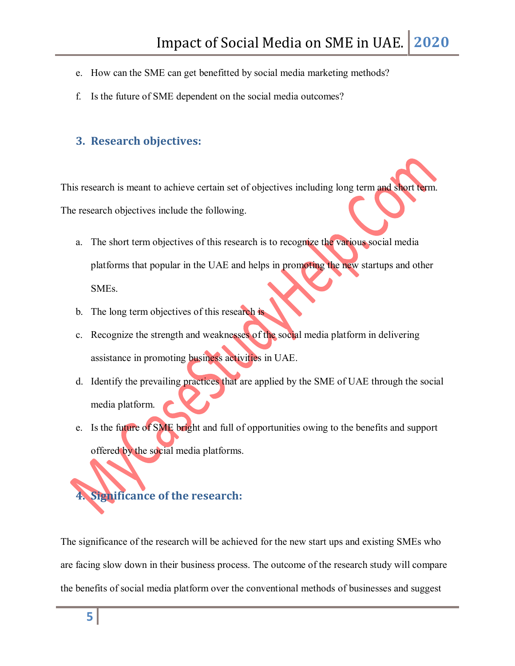- e. How can the SME can get benefitted by social media marketing methods?
- f. Is the future of SME dependent on the social media outcomes?

#### <span id="page-4-0"></span>**3. Research objectives:**

This research is meant to achieve certain set of objectives including long term and short term. The research objectives include the following.

- a. The short term objectives of this research is to recognize the various social media platforms that popular in the UAE and helps in promoting the new startups and other SMEs.
- b. The long term objectives of this research is
- c. Recognize the strength and weaknesses of the social media platform in delivering assistance in promoting business activities in UAE.
- d. Identify the prevailing practices that are applied by the SME of UAE through the social media platform.
- e. Is the future of SME bright and full of opportunities owing to the benefits and support offered by the social media platforms.

# <span id="page-4-1"></span>**4. Significance of the research:**

The significance of the research will be achieved for the new start ups and existing SMEs who are facing slow down in their business process. The outcome of the research study will compare the benefits of social media platform over the conventional methods of businesses and suggest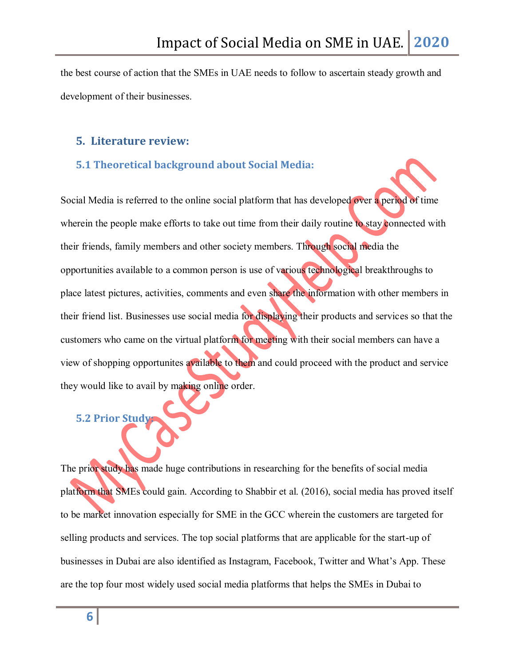the best course of action that the SMEs in UAE needs to follow to ascertain steady growth and development of their businesses.

#### <span id="page-5-0"></span>**5. Literature review:**

#### <span id="page-5-1"></span>**5.1 Theoretical background about Social Media:**

Social Media is referred to the online social platform that has developed over a period of time wherein the people make efforts to take out time from their daily routine to stay connected with their friends, family members and other society members. Through social media the opportunities available to a common person is use of various technological breakthroughs to place latest pictures, activities, comments and even share the information with other members in their friend list. Businesses use social media for displaying their products and services so that the customers who came on the virtual platform for meeting with their social members can have a view of shopping opportunites available to them and could proceed with the product and service they would like to avail by making online order.

## <span id="page-5-2"></span>**5.2 Prior Study:**

The prior study has made huge contributions in researching for the benefits of social media platform that SMEs could gain. According to Shabbir et al. (2016), social media has proved itself to be market innovation especially for SME in the GCC wherein the customers are targeted for selling products and services. The top social platforms that are applicable for the start-up of businesses in Dubai are also identified as Instagram, Facebook, Twitter and What's App. These are the top four most widely used social media platforms that helps the SMEs in Dubai to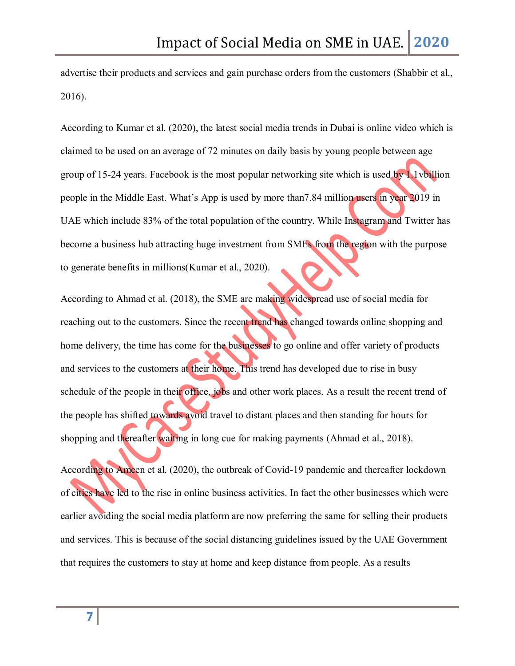advertise their products and services and gain purchase orders from the customers (Shabbir et al., 2016).

According to Kumar et al. (2020), the latest social media trends in Dubai is online video which is claimed to be used on an average of 72 minutes on daily basis by young people between age group of 15-24 years. Facebook is the most popular networking site which is used by 1.1vbillion people in the Middle East. What's App is used by more than7.84 million users in year 2019 in UAE which include 83% of the total population of the country. While Instagram and Twitter has become a business hub attracting huge investment from SMEs from the region with the purpose to generate benefits in millions(Kumar et al., 2020).

According to Ahmad et al. (2018), the SME are making widespread use of social media for reaching out to the customers. Since the recent trend has changed towards online shopping and home delivery, the time has come for the businesses to go online and offer variety of products and services to the customers at their home. This trend has developed due to rise in busy schedule of the people in their office, jobs and other work places. As a result the recent trend of the people has shifted towards avoid travel to distant places and then standing for hours for shopping and thereafter waiting in long cue for making payments (Ahmad et al., 2018).

According to Ameen et al. (2020), the outbreak of Covid-19 pandemic and thereafter lockdown of cities have led to the rise in online business activities. In fact the other businesses which were earlier avoiding the social media platform are now preferring the same for selling their products and services. This is because of the social distancing guidelines issued by the UAE Government that requires the customers to stay at home and keep distance from people. As a results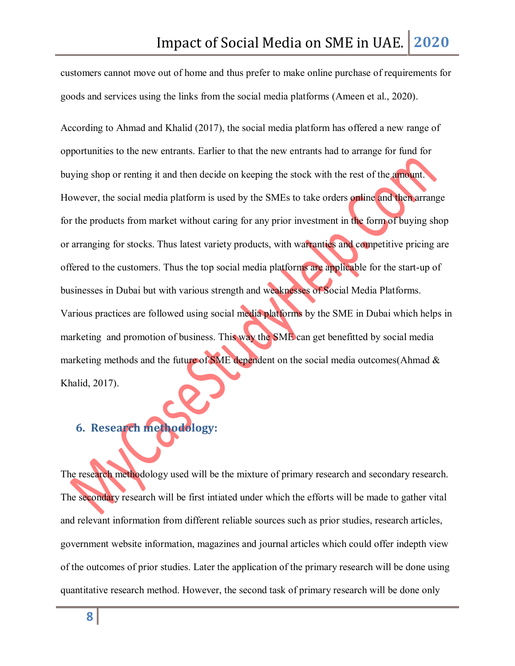customers cannot move out of home and thus prefer to make online purchase of requirements for goods and services using the links from the social media platforms (Ameen et al., 2020).

According to Ahmad and Khalid (2017), the social media platform has offered a new range of opportunities to the new entrants. Earlier to that the new entrants had to arrange for fund for buying shop or renting it and then decide on keeping the stock with the rest of the amount. However, the social media platform is used by the SMEs to take orders online and then arrange for the products from market without caring for any prior investment in the form of buying shop or arranging for stocks. Thus latest variety products, with warranties and competitive pricing are offered to the customers. Thus the top social media platforms are applicable for the start-up of businesses in Dubai but with various strength and weaknesses of Social Media Platforms. Various practices are followed using social media platforms by the SME in Dubai which helps in marketing and promotion of business. This way the SME can get benefitted by social media marketing methods and the future of SME dependent on the social media outcomes(Ahmad  $\&$ Khalid, 2017).

## <span id="page-7-0"></span>**6. Research methodology:**

The research methodology used will be the mixture of primary research and secondary research. The secondary research will be first intiated under which the efforts will be made to gather vital and relevant information from different reliable sources such as prior studies, research articles, government website information, magazines and journal articles which could offer indepth view of the outcomes of prior studies. Later the application of the primary research will be done using quantitative research method. However, the second task of primary research will be done only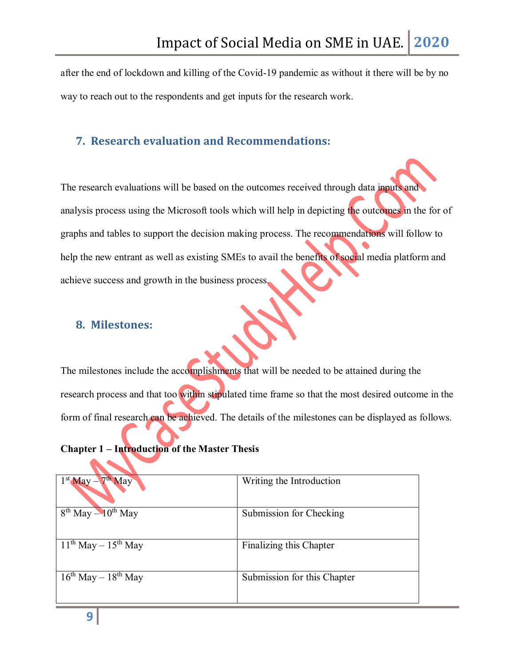after the end of lockdown and killing of the Covid-19 pandemic as without it there will be by no way to reach out to the respondents and get inputs for the research work.

#### <span id="page-8-0"></span>**7. Research evaluation and Recommendations:**

The research evaluations will be based on the outcomes received through data inputs and analysis process using the Microsoft tools which will help in depicting the outcomes in the for of graphs and tables to support the decision making process. The recommendations will follow to help the new entrant as well as existing SMEs to avail the benefits of social media platform and achieve success and growth in the business process.

### <span id="page-8-1"></span>**8. Milestones:**

The milestones include the accomplishments that will be needed to be attained during the research process and that too within stipulated time frame so that the most desired outcome in the form of final research can be achieved. The details of the milestones can be displayed as follows.

#### **Chapter 1 – Introduction of the Master Thesis**

| $1st$ May $-7th$ May          | Writing the Introduction    |
|-------------------------------|-----------------------------|
| $8th$ May $-10th$ May         | Submission for Checking     |
| $11^{th}$ May $- 15^{th}$ May | Finalizing this Chapter     |
| $16^{th}$ May $- 18^{th}$ May | Submission for this Chapter |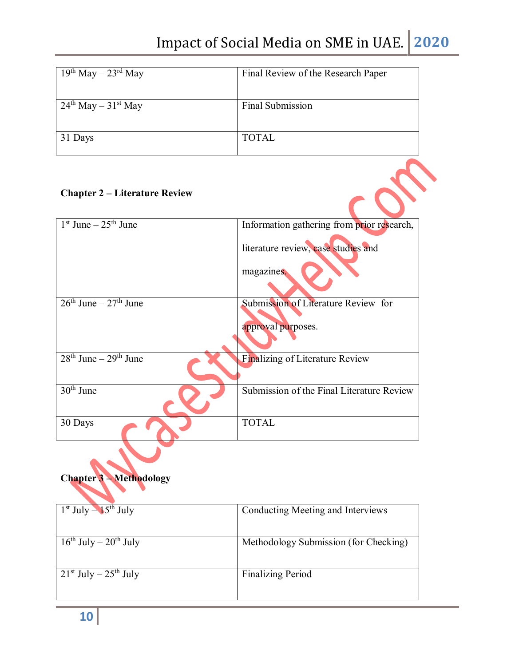| $19th$ May $- 23rd$ May | Final Review of the Research Paper |
|-------------------------|------------------------------------|
| $24th$ May $-31st$ May  | Final Submission                   |
| 31 Days                 | <b>TOTAL</b>                       |

## **Chapter 2 – Literature Review**

| <b>Chapter 2 – Literature Review</b> |                                                           |
|--------------------------------------|-----------------------------------------------------------|
| $1st$ June $-\overline{25th}$ June   | Information gathering from prior research,                |
|                                      | literature review, case studies and                       |
|                                      | magazines.                                                |
| $26th$ June – $27th$ June            | Submission of Literature Review for<br>approval purposes. |
| $28th$ June – $29th$ June            | Finalizing of Literature Review                           |
| $30th$ June                          | Submission of the Final Literature Review                 |
| 30 Days                              | <b>TOTAL</b>                                              |



| $1st$ July $-15th$ July         | Conducting Meeting and Interviews     |
|---------------------------------|---------------------------------------|
|                                 |                                       |
|                                 |                                       |
|                                 |                                       |
|                                 |                                       |
|                                 |                                       |
| $16^{th}$ July – $20^{th}$ July | Methodology Submission (for Checking) |
|                                 |                                       |
|                                 |                                       |
|                                 |                                       |
|                                 |                                       |
| $21st$ July $-25th$ July        | <b>Finalizing Period</b>              |
|                                 |                                       |
|                                 |                                       |
|                                 |                                       |
|                                 |                                       |
|                                 |                                       |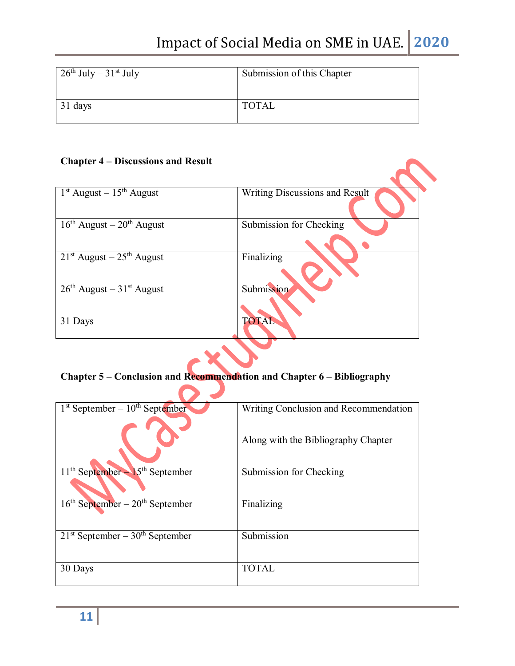| $\frac{1}{26}$ th July – 31 <sup>st</sup> July | Submission of this Chapter |
|------------------------------------------------|----------------------------|
| 31 days                                        | <b>TOTAL</b>               |

#### **Chapter 4 – Discussions and Result**

| $1st$ August – $15th$ August  | <b>Writing Discussions and Result</b> |
|-------------------------------|---------------------------------------|
| $16th$ August – $20th$ August | Submission for Checking               |
| $21st$ August – $25th$ August | Finalizing                            |
| $26th$ August – $31st$ August | Submission                            |
| 31 Days                       | TOTAL                                 |

## **Chapter 5 – Conclusion and Recommendation and Chapter 6 – Bibliography**

| $1st$ September – $10th$ September  | Writing Conclusion and Recommendation |  |
|-------------------------------------|---------------------------------------|--|
|                                     | Along with the Bibliography Chapter   |  |
| $11th September - 15th September$   | Submission for Checking               |  |
|                                     |                                       |  |
| $16th September - 20th September$   | Finalizing                            |  |
|                                     |                                       |  |
| $21st$ September – $30th$ September | Submission                            |  |
|                                     |                                       |  |
| 30 Days                             | TOTAL                                 |  |
|                                     |                                       |  |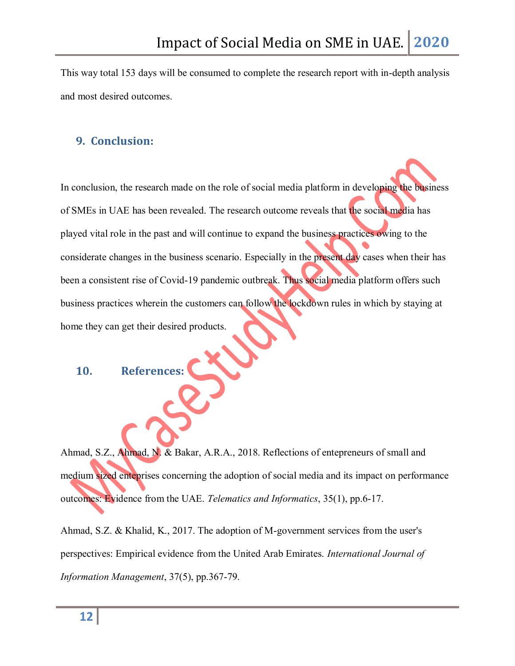This way total 153 days will be consumed to complete the research report with in-depth analysis and most desired outcomes.

### <span id="page-11-0"></span>**9. Conclusion:**

In conclusion, the research made on the role of social media platform in developing the business of SMEs in UAE has been revealed. The research outcome reveals that the social media has played vital role in the past and will continue to expand the business practices owing to the considerate changes in the business scenario. Especially in the present day cases when their has been a consistent rise of Covid-19 pandemic outbreak. Thus social media platform offers such business practices wherein the customers can follow the lockdown rules in which by staying at home they can get their desired products.

#### <span id="page-11-1"></span>**10. References:**

Ahmad, S.Z., Ahmad, N. & Bakar, A.R.A., 2018. Reflections of entepreneurs of small and medium sized enteprises concerning the adoption of social media and its impact on performance outcomes: Evidence from the UAE. *Telematics and Informatics*, 35(1), pp.6-17.

Ahmad, S.Z. & Khalid, K., 2017. The adoption of M-government services from the user's perspectives: Empirical evidence from the United Arab Emirates. *International Journal of Information Management*, 37(5), pp.367-79.